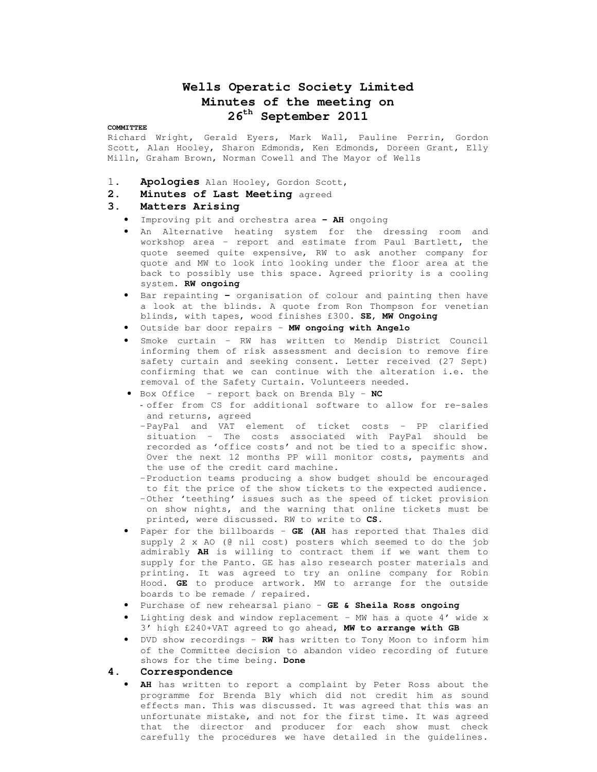# **Wells Operatic Society Limited Minutes of the meeting on 26th September 2011**

#### **COMMITTEE**

Richard Wright, Gerald Eyers, Mark Wall, Pauline Perrin, Gordon Scott, Alan Hooley, Sharon Edmonds, Ken Edmonds, Doreen Grant, Elly Milln, Graham Brown, Norman Cowell and The Mayor of Wells

- 1. **Apologies** Alan Hooley, Gordon Scott,
- **2. Minutes of Last Meeting** agreed

#### **3. Matters Arising**

- Improving pit and orchestra area **– AH** ongoing
- An Alternative heating system for the dressing room and workshop area – report and estimate from Paul Bartlett**,** the quote seemed quite expensive, RW to ask another company for quote and MW to look into looking under the floor area at the back to possibly use this space. Agreed priority is a cooling system. **RW ongoing**
- Bar repainting organisation of colour and painting then have a look at the blinds. A quote from Ron Thompson for venetian blinds, with tapes, wood finishes £300. **SE, MW Ongoing**
- Outside bar door repairs **MW ongoing with Angelo**
- Smoke curtain RW has written to Mendip District Council informing them of risk assessment and decision to remove fire safety curtain and seeking consent. Letter received (27 Sept) confirming that we can continue with the alteration i.e. the removal of the Safety Curtain. Volunteers needed.
- Box Office report back on Brenda Bly **NC**
	- offer from CS for additional software to allow for re-sales and returns, agreed
	- –PayPal and VAT element of ticket costs PP clarified situation – The costs associated with PayPal should be recorded as 'office costs' and not be tied to a specific show. Over the next 12 months PP will monitor costs, payments and the use of the credit card machine.
	- –Production teams producing a show budget should be encouraged to fit the price of the show tickets to the expected audience. –Other 'teething' issues such as the speed of ticket provision on show nights, and the warning that online tickets must be printed, were discussed. RW to write to **CS**.
- Paper for the billboards **GE (AH** has reported that Thales did supply 2 x AO (@ nil cost) posters which seemed to do the job admirably **AH** is willing to contract them if we want them to supply for the Panto. GE has also research poster materials and printing. It was agreed to try an online company for Robin Hood. **GE** to produce artwork. MW to arrange for the outside boards to be remade / repaired.
- Purchase of new rehearsal piano **GE & Sheila Ross ongoing**
- Lighting desk and window replacement MW has a quote  $4'$  wide x 3' high £240+VAT agreed to go ahead, **MW to arrange with GB**
- DVD show recordings **RW** has written to Tony Moon to inform him of the Committee decision to abandon video recording of future shows for the time being. **Done**
- **4. Correspondence**
	- AH has written to report a complaint by Peter Ross about the programme for Brenda Bly which did not credit him as sound effects man. This was discussed. It was agreed that this was an unfortunate mistake, and not for the first time. It was agreed that the director and producer for each show must check carefully the procedures we have detailed in the guidelines.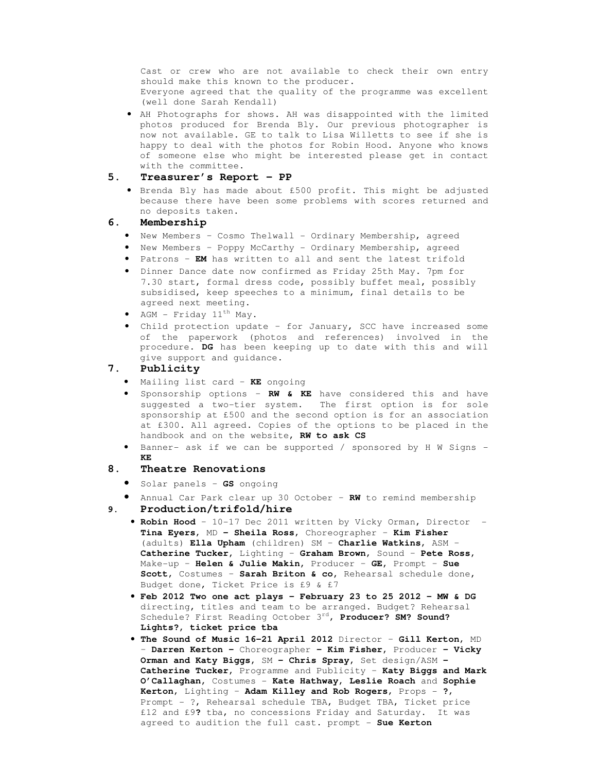Cast or crew who are not available to check their own entry should make this known to the producer. Everyone agreed that the quality of the programme was excellent (well done Sarah Kendall)

• AH Photographs for shows. AH was disappointed with the limited photos produced for Brenda Bly. Our previous photographer is now not available. GE to talk to Lisa Willetts to see if she is happy to deal with the photos for Robin Hood. Anyone who knows of someone else who might be interested please get in contact with the committee.

#### **5. Treasurer's Report – PP**

• Brenda Bly has made about £500 profit. This might be adjusted because there have been some problems with scores returned and no deposits taken.

### **6. Membership**

- New Members Cosmo Thelwall Ordinary Membership, agreed
- New Members Poppy McCarthy Ordinary Membership, agreed
- Patrons **EM** has written to all and sent the latest trifold
- Dinner Dance date now confirmed as Friday 25th May. 7pm for 7.30 start, formal dress code, possibly buffet meal, possibly subsidised, keep speeches to a minimum, final details to be agreed next meeting.
- AGM Friday  $11^{th}$  May.
- Child protection update for January, SCC have increased some of the paperwork (photos and references) involved in the procedure. **DG** has been keeping up to date with this and will give support and guidance.

## **7. Publicity**

- Mailing list card **KE** ongoing
- Sponsorship options **RW & KE** have considered this and have suggested a two-tier system. The first option is for sole sponsorship at £500 and the second option is for an association at £300. All agreed. Copies of the options to be placed in the handbook and on the website, **RW to ask CS**
- Banner- ask if we can be supported / sponsored by H W Signs **KE**

#### **8. Theatre Renovations**

- Solar panels **GS** ongoing
- Annual Car Park clear up 30 October **RW** to remind membership **9. Production/trifold/hire** 
	- **Robin Hood**  10-17 Dec 2011 written by Vicky Orman, Director **Tina Eyers**, MD **– Sheila Ross**, Choreographer – **Kim Fisher**  (adults) **Ella Upham** (children) SM – **Charlie Watkins**, ASM – **Catherine Tucker,** Lighting – **Graham Brown**, Sound – **Pete Ross**, Make-up – **Helen & Julie Makin,** Producer – **GE,** Prompt – **Sue Scott**, Costumes – **Sarah Briton & co,** Rehearsal schedule done, Budget done, Ticket Price is £9 & £7
	- **Feb 2012 Two one act plays February 23 to 25 2012 MW & DG**  directing, titles and team to be arranged. Budget? Rehearsal Schedule? First Reading October 3rd, **Producer? SM? Sound? Lights?, ticket price tba**
	- **The Sound of Music 16-21 April 2012** Director **Gill Kerton**, MD – **Darren Kerton –** Choreographer **– Kim Fisher,** Producer **– Vicky Orman and Katy Biggs,** SM **– Chris Spray,** Set design/ASM **– Catherine Tucker,** Programme and Publicity – **Katy Biggs and Mark O'Callaghan,** Costumes - **Kate Hathway, Leslie Roach** and **Sophie Kerton**, Lighting – **Adam Killey and Rob Rogers**, Props - **?**, Prompt - ?, Rehearsal schedule TBA, Budget TBA, Ticket price £12 and £9**?** tba, no concessions Friday and Saturday. It was agreed to audition the full cast. prompt - **Sue Kerton**